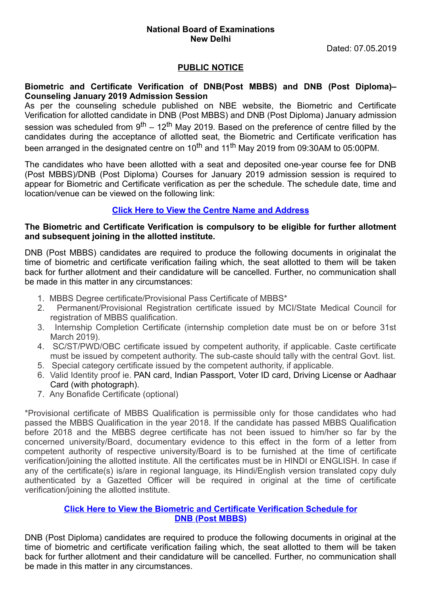## **National Board of Examinations New Delhi**

Dated: 07.05.2019

#### **PUBLIC NOTICE**

#### **Biometric and Certificate Verification of DNB(Post MBBS) and DNB (Post Diploma)– Counseling January 2019 Admission Session**

As per the counseling schedule published on NBE website, the Biometric and Certificate Verification for allotted candidate in DNB (Post MBBS) and DNB (Post Diploma) January admission session was scheduled from 9<sup>th</sup> – 12<sup>th</sup> May 2019. Based on the preference of centre filled by the candidates during the acceptance of allotted seat, the Biometric and Certificate verification has been arranged in the designated centre on 10<sup>th</sup> and 11<sup>th</sup> May 2019 from 09:30AM to 05:00PM.

The candidates who have been allotted with a seat and deposited one-year course fee for DNB (Post MBBS)/DNB (Post Diploma) Courses for January 2019 admission session is required to appear for Biometric and Certificate verification as per the schedule. The schedule date, time and location/venue can be viewed on the following link:

## **[Click Here to View the Centre Name and Address](http://natboard.edu.in/pdoof/pbnotice2019/Biometric%20and%20Certificate%20Verification%20Centre%20List.pdf)**

#### **The Biometric and Certificate Verification is compulsory to be eligible for further allotment and subsequent joining in the allotted institute.**

DNB (Post MBBS) candidates are required to produce the following documents in originalat the time of biometric and certificate verification failing which, the seat allotted to them will be taken back for further allotment and their candidature will be cancelled. Further, no communication shall be made in this matter in any circumstances:

- 1. MBBS Degree certificate/Provisional Pass Certificate of MBBS\*
- 2. Permanent/Provisional Registration certificate issued by MCI/State Medical Council for registration of MBBS qualification.
- 3. Internship Completion Certificate (internship completion date must be on or before 31st March 2019).
- 4. SC/ST/PWD/OBC certificate issued by competent authority, if applicable. Caste certificate must be issued by competent authority. The sub-caste should tally with the central Govt. list.
- 5. Special category certificate issued by the competent authority, if applicable.
- 6. Valid Identity proof ie. PAN card, Indian Passport, Voter ID card, Driving License or Aadhaar Card (with photograph).
- 7. Any Bonafide Certificate (optional)

\*Provisional certificate of MBBS Qualification is permissible only for those candidates who had passed the MBBS Qualification in the year 2018. If the candidate has passed MBBS Qualification before 2018 and the MBBS degree certificate has not been issued to him/her so far by the concerned university/Board, documentary evidence to this effect in the form of a letter from competent authority of respective university/Board is to be furnished at the time of certificate verification/joining the allotted institute. All the certificates must be in HINDI or ENGLISH. In case if any of the certificate(s) is/are in regional language, its Hindi/English version translated copy duly authenticated by a Gazetted Officer will be required in original at the time of certificate verification/joining the allotted institute.

## **[Click Here to View the Biometric and Certificate Verification Schedule for](http://natboard.edu.in/pdoof/pbnotice2019/DNB%20Post%20MBBS%20Biometric%20and%20Certificate%20Verification%20Data.pdf) [DNB \(Post MBBS\)](file:///C:/Users/pc5/Documents/DNB%20Post%20MBBS%20Biometric%20and%20Certificate%20Verification%20Data.pdf)**

DNB (Post Diploma) candidates are required to produce the following documents in original at the time of biometric and certificate verification failing which, the seat allotted to them will be taken back for further allotment and their candidature will be cancelled. Further, no communication shall be made in this matter in any circumstances.